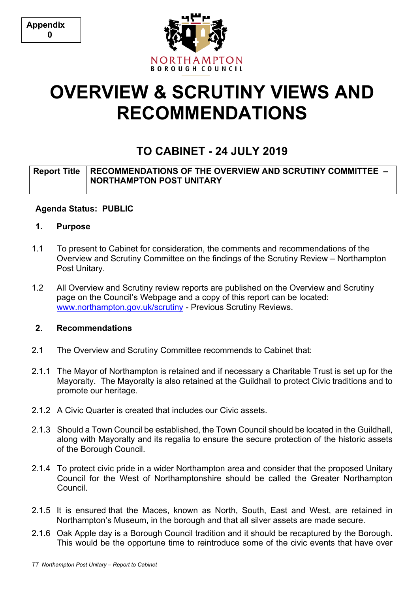**Appendix 0**



# **OVERVIEW & SCRUTINY VIEWS AND RECOMMENDATIONS**

# **TO CABINET - 24 JULY 2019**

## **Report Title RECOMMENDATIONS OF THE OVERVIEW AND SCRUTINY COMMITTEE – NORTHAMPTON POST UNITARY**

## **Agenda Status: PUBLIC**

- **1. Purpose**
- 1.1 To present to Cabinet for consideration, the comments and recommendations of the Overview and Scrutiny Committee on the findings of the Scrutiny Review – Northampton Post Unitary.
- 1.2 All Overview and Scrutiny review reports are published on the Overview and Scrutiny page on the Council's Webpage and a copy of this report can be located: [www.northampton.gov.uk/scrutiny](http://www.northampton.gov.uk/scrutiny) - Previous Scrutiny Reviews.

## **2. Recommendations**

- 2.1 The Overview and Scrutiny Committee recommends to Cabinet that:
- 2.1.1 The Mayor of Northampton is retained and if necessary a Charitable Trust is set up for the Mayoralty. The Mayoralty is also retained at the Guildhall to protect Civic traditions and to promote our heritage.
- 2.1.2 A Civic Quarter is created that includes our Civic assets.
- 2.1.3 Should a Town Council be established, the Town Council should be located in the Guildhall, along with Mayoralty and its regalia to ensure the secure protection of the historic assets of the Borough Council.
- 2.1.4 To protect civic pride in a wider Northampton area and consider that the proposed Unitary Council for the West of Northamptonshire should be called the Greater Northampton Council.
- 2.1.5 It is ensured that the Maces, known as North, South, East and West, are retained in Northampton's Museum, in the borough and that all silver assets are made secure.
- 2.1.6 Oak Apple day is a Borough Council tradition and it should be recaptured by the Borough. This would be the opportune time to reintroduce some of the civic events that have over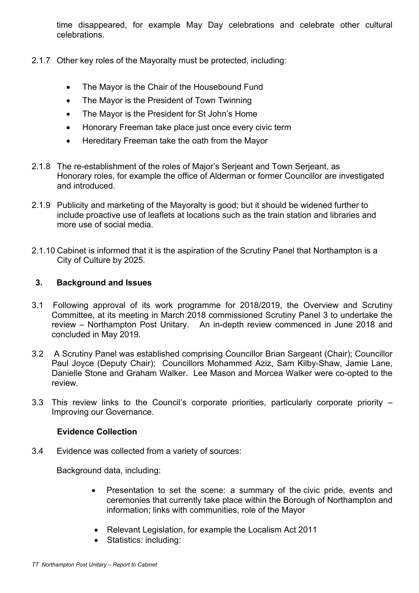time disappeared, for example May Day celebrations and celebrate other cultural celebrations.

- 2.1.7 Other key roles of the Mayoralty must be protected, including:
	- The Mayor is the Chair of the Housebound Fund
	- The Mayor is the President of Town Twinning
	- The Mayor is the President for St John's Home
	- Honorary Freeman take place just once every civic term
	- Hereditary Freeman take the oath from the Mayor
- 2.1.8 The re-establishment of the roles of Major's Serjeant and Town Serjeant, as Honorary roles, for example the office of Alderman or former Councillor are investigated and introduced.
- 2.1.9 Publicity and marketing of the Mayoralty is good; but it should be widened further to include proactive use of leaflets at locations such as the train station and libraries and more use of social media.
- 2.1.10 Cabinet is informed that it is the aspiration of the Scrutiny Panel that Northampton is a City of Culture by 2025.

#### **3. Background and Issues**

- 3.1 Following approval of its work programme for 2018/2019, the Overview and Scrutiny Committee, at its meeting in March 2018 commissioned Scrutiny Panel 3 to undertake the review – Northampton Post Unitary. An in-depth review commenced in June 2018 and concluded in May 2019.
- 3.2 A Scrutiny Panel was established comprising Councillor Brian Sargeant (Chair); Councillor Paul Joyce (Deputy Chair); Councillors Mohammed Aziz, Sam Kilby-Shaw, Jamie Lane, Danielle Stone and Graham Walker. Lee Mason and Morcea Walker were co-opted to the review.
- 3.3 This review links to the Council's corporate priorities, particularly corporate priority Improving our Governance.

#### **Evidence Collection**

3.4 Evidence was collected from a variety of sources:

Background data, including:

- Presentation to set the scene: a summary of the civic pride, events and ceremonies that currently take place within the Borough of Northampton and information; links with communities, role of the Mayor
- Relevant Legislation, for example the Localism Act 2011
- Statistics: including: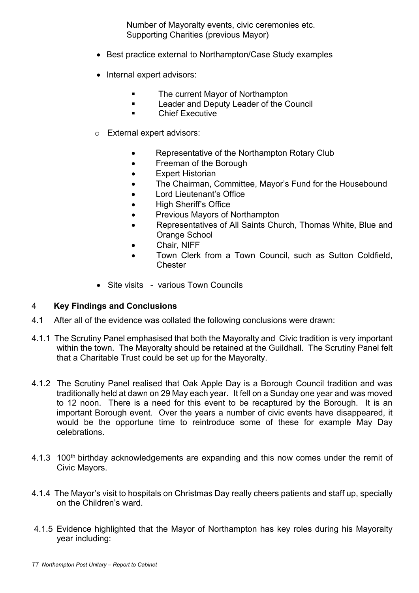Number of Mayoralty events, civic ceremonies etc. Supporting Charities (previous Mayor)

- Best practice external to Northampton/Case Study examples
- Internal expert advisors:
	- **EXECUTE:** The current Mayor of Northampton
	- **Leader and Deputy Leader of the Council**
	- **Executive**
- o External expert advisors:
	- Representative of the Northampton Rotary Club
	- Freeman of the Borough
	- Expert Historian
	- The Chairman, Committee, Mayor's Fund for the Housebound
	- Lord Lieutenant's Office
	- High Sheriff's Office
	- Previous Mayors of Northampton
	- Representatives of All Saints Church, Thomas White, Blue and Orange School
	- Chair, NIFF
	- Town Clerk from a Town Council, such as Sutton Coldfield, **Chester**
- Site visits various Town Councils

#### 4 **Key Findings and Conclusions**

- 4.1 After all of the evidence was collated the following conclusions were drawn:
- 4.1.1 The Scrutiny Panel emphasised that both the Mayoralty and Civic tradition is very important within the town. The Mayoralty should be retained at the Guildhall. The Scrutiny Panel felt that a Charitable Trust could be set up for the Mayoralty.
- 4.1.2 The Scrutiny Panel realised that Oak Apple Day is a Borough Council tradition and was traditionally held at dawn on 29 May each year. It fell on a Sunday one year and was moved to 12 noon. There is a need for this event to be recaptured by the Borough. It is an important Borough event. Over the years a number of civic events have disappeared, it would be the opportune time to reintroduce some of these for example May Day celebrations.
- 4.1.3 100<sup>th</sup> birthday acknowledgements are expanding and this now comes under the remit of Civic Mayors.
- 4.1.4 The Mayor's visit to hospitals on Christmas Day really cheers patients and staff up, specially on the Children's ward.
- 4.1.5 Evidence highlighted that the Mayor of Northampton has key roles during his Mayoralty year including: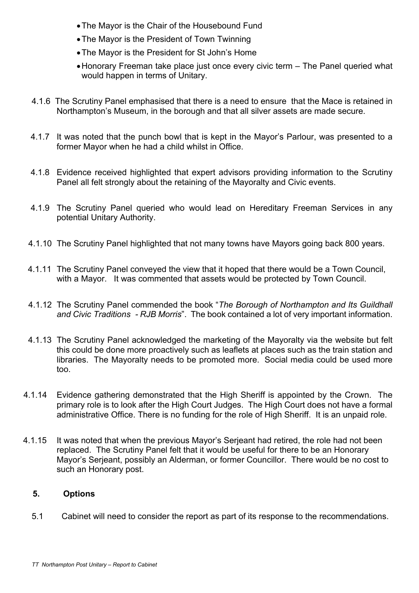- The Mayor is the Chair of the Housebound Fund
- The Mayor is the President of Town Twinning
- The Mayor is the President for St John's Home
- Honorary Freeman take place just once every civic term The Panel queried what would happen in terms of Unitary.
- 4.1.6 The Scrutiny Panel emphasised that there is a need to ensure that the Mace is retained in Northampton's Museum, in the borough and that all silver assets are made secure.
- 4.1.7 It was noted that the punch bowl that is kept in the Mayor's Parlour, was presented to a former Mayor when he had a child whilst in Office.
- 4.1.8 Evidence received highlighted that expert advisors providing information to the Scrutiny Panel all felt strongly about the retaining of the Mayoralty and Civic events.
- 4.1.9 The Scrutiny Panel queried who would lead on Hereditary Freeman Services in any potential Unitary Authority.
- 4.1.10 The Scrutiny Panel highlighted that not many towns have Mayors going back 800 years.
- 4.1.11 The Scrutiny Panel conveyed the view that it hoped that there would be a Town Council, with a Mayor. It was commented that assets would be protected by Town Council.
- 4.1.12 The Scrutiny Panel commended the book "*The Borough of Northampton and Its Guildhall and Civic Traditions - RJB Morris*". The book contained a lot of very important information.
- 4.1.13 The Scrutiny Panel acknowledged the marketing of the Mayoralty via the website but felt this could be done more proactively such as leaflets at places such as the train station and libraries. The Mayoralty needs to be promoted more. Social media could be used more too.
- 4.1.14 Evidence gathering demonstrated that the High Sheriff is appointed by the Crown. The primary role is to look after the High Court Judges. The High Court does not have a formal administrative Office. There is no funding for the role of High Sheriff. It is an unpaid role.
- 4.1.15 It was noted that when the previous Mayor's Serjeant had retired, the role had not been replaced. The Scrutiny Panel felt that it would be useful for there to be an Honorary Mayor's Serjeant, possibly an Alderman, or former Councillor. There would be no cost to such an Honorary post.

# **5. Options**

5.1 Cabinet will need to consider the report as part of its response to the recommendations.